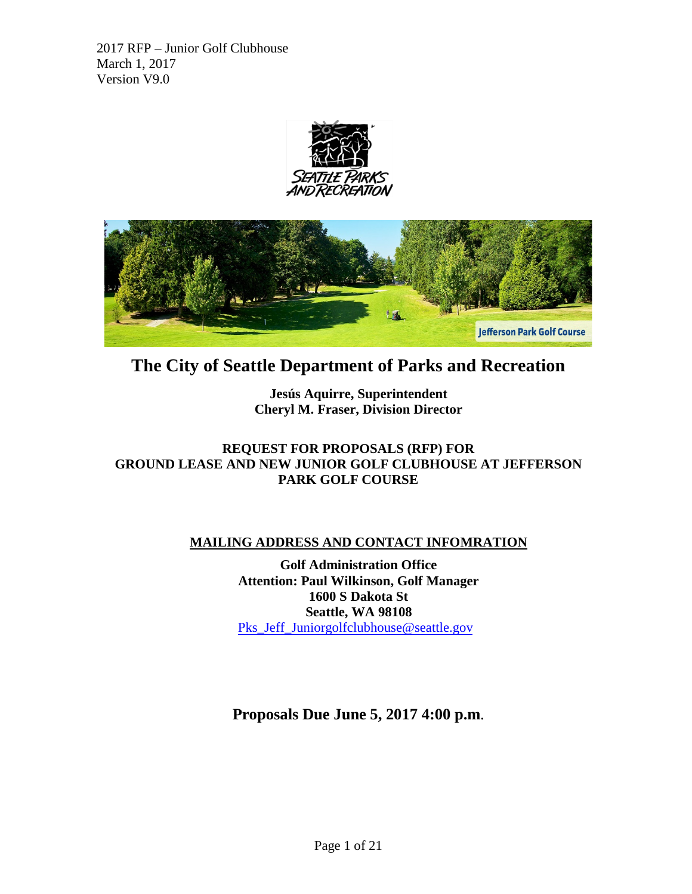



# **The City of Seattle Department of Parks and Recreation**

**Jesús Aquirre, Superintendent Cheryl M. Fraser, Division Director**

# **REQUEST FOR PROPOSALS (RFP) FOR GROUND LEASE AND NEW JUNIOR GOLF CLUBHOUSE AT JEFFERSON PARK GOLF COURSE**

# **MAILING ADDRESS AND CONTACT INFOMRATION**

**Golf Administration Office Attention: Paul Wilkinson, Golf Manager 1600 S Dakota St Seattle, WA 98108**  [Pks\\_Jeff\\_Juniorgolfclubhouse@seattle.gov](mailto:Pks_Jeff_Juniorgolfclubhouse@seattle.gov)

**Proposals Due June 5, 2017 4:00 p.m**.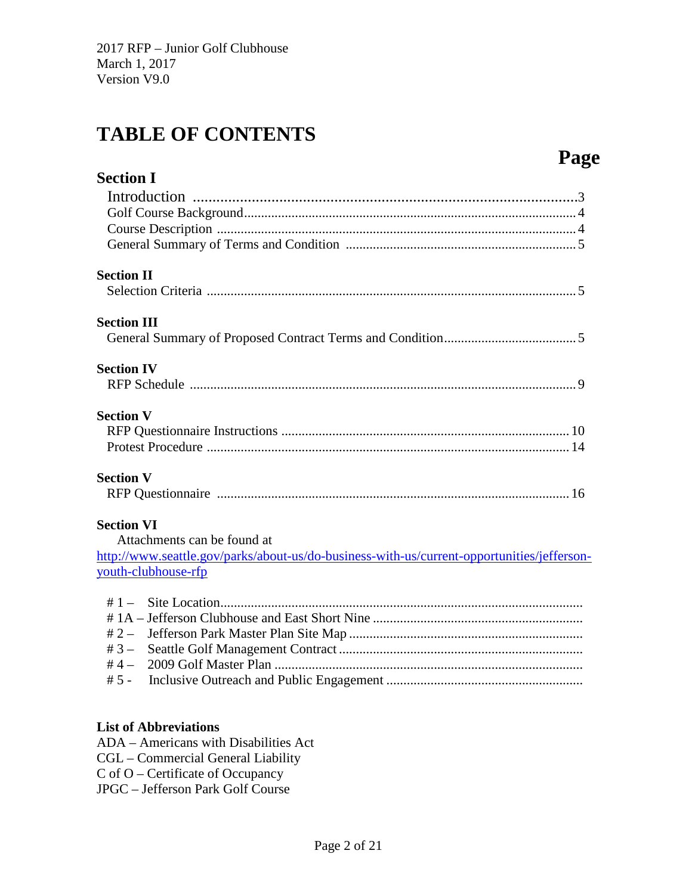# **TABLE OF CONTENTS**

# **Page**

| <b>Section I</b>                                                                           |
|--------------------------------------------------------------------------------------------|
|                                                                                            |
|                                                                                            |
|                                                                                            |
|                                                                                            |
| <b>Section II</b>                                                                          |
|                                                                                            |
| <b>Section III</b>                                                                         |
|                                                                                            |
| <b>Section IV</b>                                                                          |
|                                                                                            |
| <b>Section V</b>                                                                           |
|                                                                                            |
|                                                                                            |
| <b>Section V</b>                                                                           |
|                                                                                            |
| <b>Section VI</b>                                                                          |
| Attachments can be found at                                                                |
| http://www.seattle.gov/parks/about-us/do-business-with-us/current-opportunities/jefferson- |
| youth-clubhouse-rfp                                                                        |
|                                                                                            |
|                                                                                            |
| # 2 $-$                                                                                    |
| $#3-$                                                                                      |
| # 4 $-$                                                                                    |
| $# 5 -$                                                                                    |
|                                                                                            |

# **List of Abbreviations**

- ADA Americans with Disabilities Act
- CGL Commercial General Liability
- C of O Certificate of Occupancy
- JPGC Jefferson Park Golf Course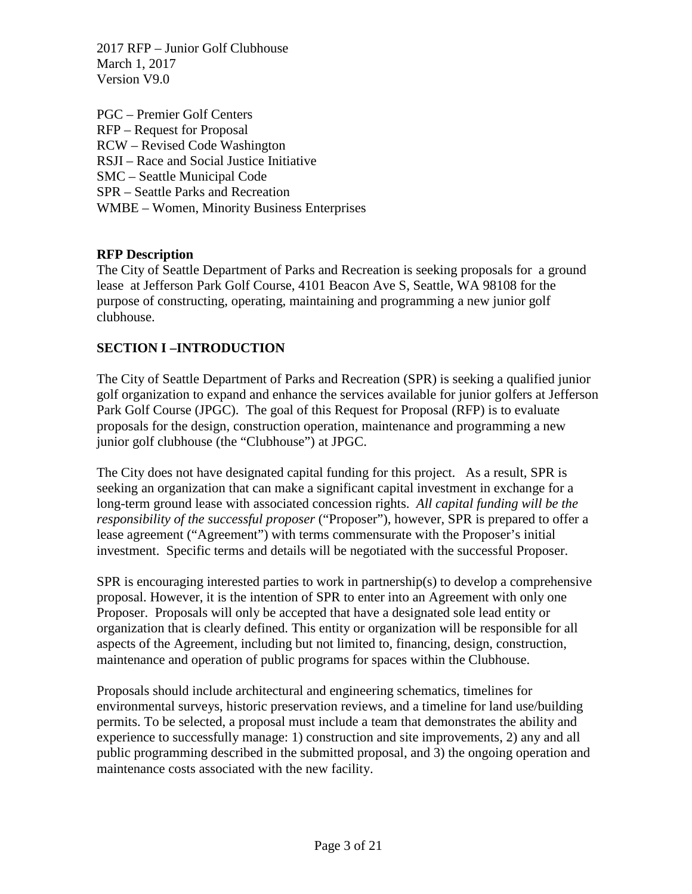PGC – Premier Golf Centers RFP – Request for Proposal RCW – Revised Code Washington RSJI – Race and Social Justice Initiative SMC – Seattle Municipal Code SPR – Seattle Parks and Recreation WMBE – Women, Minority Business Enterprises

# **RFP Description**

The City of Seattle Department of Parks and Recreation is seeking proposals for a ground lease at Jefferson Park Golf Course, 4101 Beacon Ave S, Seattle, WA 98108 for the purpose of constructing, operating, maintaining and programming a new junior golf clubhouse.

# **SECTION I –INTRODUCTION**

The City of Seattle Department of Parks and Recreation (SPR) is seeking a qualified junior golf organization to expand and enhance the services available for junior golfers at Jefferson Park Golf Course (JPGC). The goal of this Request for Proposal (RFP) is to evaluate proposals for the design, construction operation, maintenance and programming a new junior golf clubhouse (the "Clubhouse") at JPGC.

The City does not have designated capital funding for this project. As a result, SPR is seeking an organization that can make a significant capital investment in exchange for a long-term ground lease with associated concession rights. *All capital funding will be the responsibility of the successful proposer* ("Proposer"), however, SPR is prepared to offer a lease agreement ("Agreement") with terms commensurate with the Proposer's initial investment. Specific terms and details will be negotiated with the successful Proposer.

SPR is encouraging interested parties to work in partnership(s) to develop a comprehensive proposal. However, it is the intention of SPR to enter into an Agreement with only one Proposer. Proposals will only be accepted that have a designated sole lead entity or organization that is clearly defined. This entity or organization will be responsible for all aspects of the Agreement, including but not limited to, financing, design, construction, maintenance and operation of public programs for spaces within the Clubhouse.

Proposals should include architectural and engineering schematics, timelines for environmental surveys, historic preservation reviews, and a timeline for land use/building permits. To be selected, a proposal must include a team that demonstrates the ability and experience to successfully manage: 1) construction and site improvements, 2) any and all public programming described in the submitted proposal, and 3) the ongoing operation and maintenance costs associated with the new facility.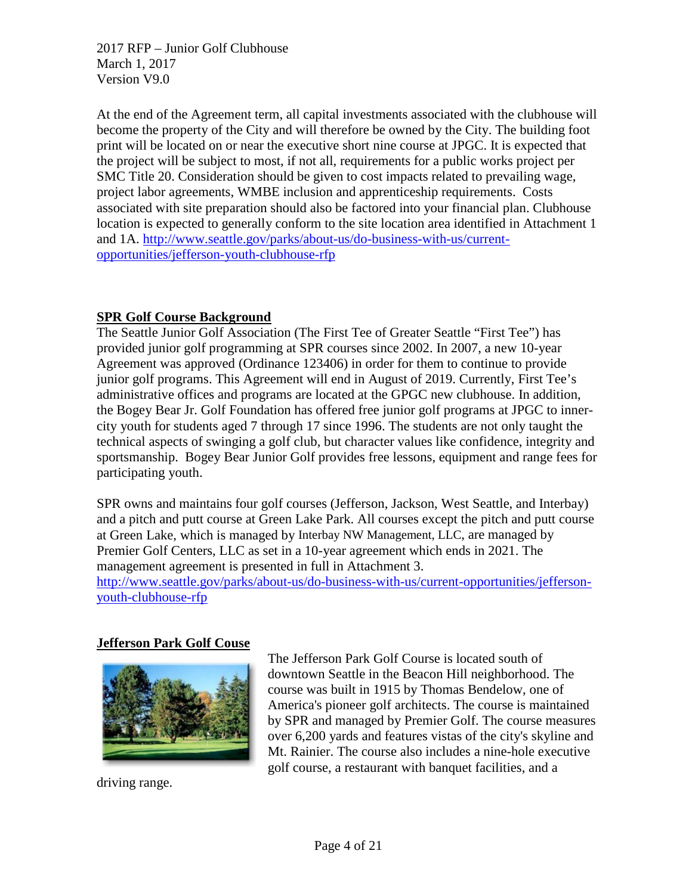At the end of the Agreement term, all capital investments associated with the clubhouse will become the property of the City and will therefore be owned by the City. The building foot print will be located on or near the executive short nine course at JPGC. It is expected that the project will be subject to most, if not all, requirements for a public works project per SMC Title 20. Consideration should be given to cost impacts related to prevailing wage, project labor agreements, WMBE inclusion and apprenticeship requirements. Costs associated with site preparation should also be factored into your financial plan. Clubhouse location is expected to generally conform to the site location area identified in Attachment 1 and 1A. [http://www.seattle.gov/parks/about-us/do-business-with-us/current](http://www.seattle.gov/parks/about-us/do-business-with-us/current-opportunities/jefferson-youth-clubhouse-rfp)[opportunities/jefferson-youth-clubhouse-rfp](http://www.seattle.gov/parks/about-us/do-business-with-us/current-opportunities/jefferson-youth-clubhouse-rfp)

## **SPR Golf Course Background**

The Seattle Junior Golf Association (The First Tee of Greater Seattle "First Tee") has provided junior golf programming at SPR courses since 2002. In 2007, a new 10-year Agreement was approved (Ordinance 123406) in order for them to continue to provide junior golf programs. This Agreement will end in August of 2019. Currently, First Tee's administrative offices and programs are located at the GPGC new clubhouse. In addition, the Bogey Bear Jr. Golf Foundation has offered free junior golf programs at JPGC to innercity youth for students aged 7 through 17 since 1996. The students are not only taught the technical aspects of swinging a golf club, but character values like confidence, integrity and sportsmanship. Bogey Bear Junior Golf provides free lessons, equipment and range fees for participating youth.

SPR owns and maintains four golf courses (Jefferson, Jackson, West Seattle, and Interbay) and a pitch and putt course at Green Lake Park. All courses except the pitch and putt course at Green Lake, which is managed by Interbay NW Management, LLC, are managed by Premier Golf Centers, LLC as set in a 10-year agreement which ends in 2021. The management agreement is presented in full in Attachment 3.

[http://www.seattle.gov/parks/about-us/do-business-with-us/current-opportunities/jefferson](http://www.seattle.gov/parks/about-us/do-business-with-us/current-opportunities/jefferson-youth-clubhouse-rfp)[youth-clubhouse-rfp](http://www.seattle.gov/parks/about-us/do-business-with-us/current-opportunities/jefferson-youth-clubhouse-rfp)

## **Jefferson Park Golf Couse**



driving range.

The Jefferson Park Golf Course is located south of downtown Seattle in the Beacon Hill neighborhood. The course was built in 1915 by Thomas Bendelow, one of America's pioneer golf architects. The course is maintained by SPR and managed by Premier Golf. The course measures over 6,200 yards and features vistas of the city's skyline and Mt. Rainier. The course also includes a nine-hole executive golf course, a restaurant with banquet facilities, and a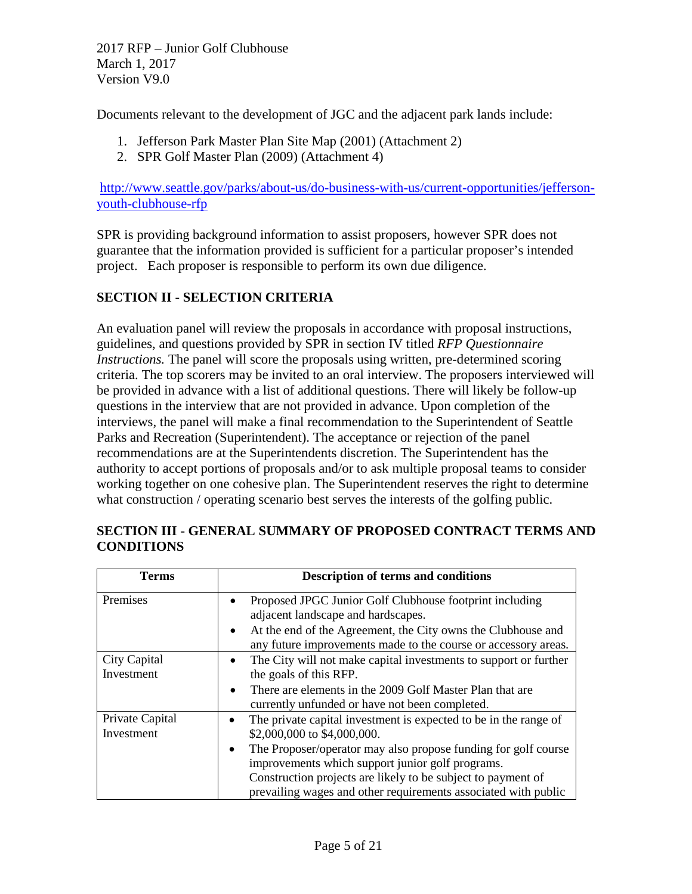Documents relevant to the development of JGC and the adjacent park lands include:

- 1. Jefferson Park Master Plan Site Map (2001) (Attachment 2)
- 2. SPR Golf Master Plan (2009) (Attachment 4)

[http://www.seattle.gov/parks/about-us/do-business-with-us/current-opportunities/jefferson](http://www.seattle.gov/parks/about-us/do-business-with-us/current-opportunities/jefferson-youth-clubhouse-rfp)[youth-clubhouse-rfp](http://www.seattle.gov/parks/about-us/do-business-with-us/current-opportunities/jefferson-youth-clubhouse-rfp)

SPR is providing background information to assist proposers, however SPR does not guarantee that the information provided is sufficient for a particular proposer's intended project. Each proposer is responsible to perform its own due diligence.

#### **SECTION II - SELECTION CRITERIA**

An evaluation panel will review the proposals in accordance with proposal instructions, guidelines, and questions provided by SPR in section IV titled *RFP Questionnaire Instructions.* The panel will score the proposals using written, pre-determined scoring criteria. The top scorers may be invited to an oral interview. The proposers interviewed will be provided in advance with a list of additional questions. There will likely be follow-up questions in the interview that are not provided in advance. Upon completion of the interviews, the panel will make a final recommendation to the Superintendent of Seattle Parks and Recreation (Superintendent). The acceptance or rejection of the panel recommendations are at the Superintendents discretion. The Superintendent has the authority to accept portions of proposals and/or to ask multiple proposal teams to consider working together on one cohesive plan. The Superintendent reserves the right to determine what construction / operating scenario best serves the interests of the golfing public.

| Terms                         | <b>Description of terms and conditions</b>                                                                                                  |  |  |
|-------------------------------|---------------------------------------------------------------------------------------------------------------------------------------------|--|--|
| Premises                      | Proposed JPGC Junior Golf Clubhouse footprint including<br>adjacent landscape and hardscapes.                                               |  |  |
|                               | At the end of the Agreement, the City owns the Clubhouse and<br>$\bullet$<br>any future improvements made to the course or accessory areas. |  |  |
| City Capital<br>Investment    | The City will not make capital investments to support or further<br>$\bullet$<br>the goals of this RFP.                                     |  |  |
|                               | There are elements in the 2009 Golf Master Plan that are<br>$\bullet$<br>currently unfunded or have not been completed.                     |  |  |
| Private Capital<br>Investment | The private capital investment is expected to be in the range of<br>$\bullet$<br>\$2,000,000 to \$4,000,000.                                |  |  |
|                               | The Proposer/operator may also propose funding for golf course<br>improvements which support junior golf programs.                          |  |  |
|                               | Construction projects are likely to be subject to payment of<br>prevailing wages and other requirements associated with public              |  |  |

## **SECTION III - GENERAL SUMMARY OF PROPOSED CONTRACT TERMS AND CONDITIONS**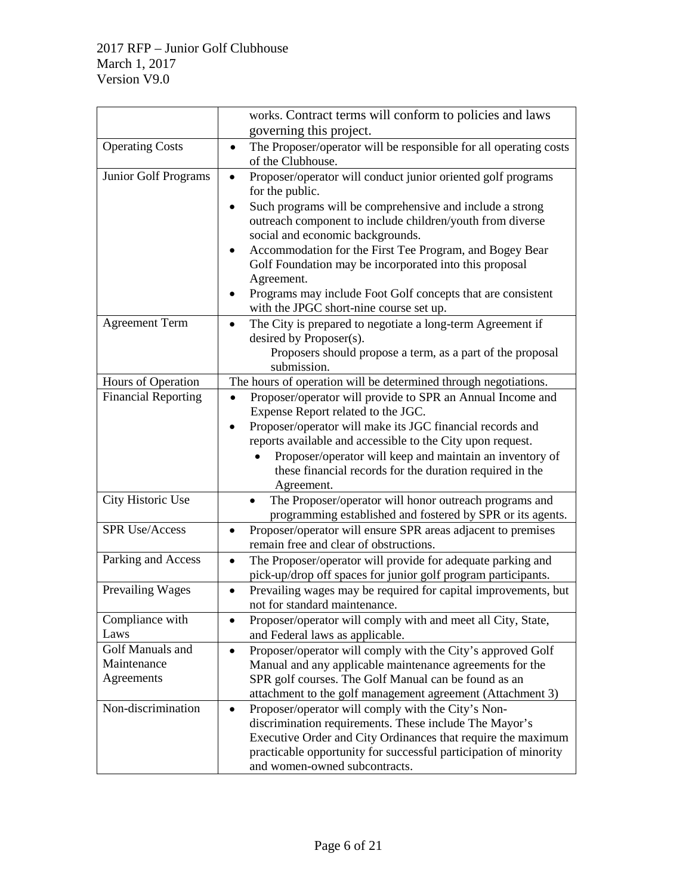|                             | works. Contract terms will conform to policies and laws                                                                                   |  |  |  |
|-----------------------------|-------------------------------------------------------------------------------------------------------------------------------------------|--|--|--|
|                             | governing this project.                                                                                                                   |  |  |  |
| <b>Operating Costs</b>      | The Proposer/operator will be responsible for all operating costs<br>$\bullet$                                                            |  |  |  |
|                             | of the Clubhouse.                                                                                                                         |  |  |  |
| <b>Junior Golf Programs</b> | Proposer/operator will conduct junior oriented golf programs<br>$\bullet$<br>for the public.                                              |  |  |  |
|                             | Such programs will be comprehensive and include a strong<br>٠<br>outreach component to include children/youth from diverse                |  |  |  |
|                             | social and economic backgrounds.                                                                                                          |  |  |  |
|                             | Accommodation for the First Tee Program, and Bogey Bear<br>Golf Foundation may be incorporated into this proposal<br>Agreement.           |  |  |  |
|                             | Programs may include Foot Golf concepts that are consistent<br>with the JPGC short-nine course set up.                                    |  |  |  |
| <b>Agreement Term</b>       | The City is prepared to negotiate a long-term Agreement if                                                                                |  |  |  |
|                             | desired by Proposer(s).                                                                                                                   |  |  |  |
|                             | Proposers should propose a term, as a part of the proposal                                                                                |  |  |  |
|                             | submission.                                                                                                                               |  |  |  |
| Hours of Operation          | The hours of operation will be determined through negotiations.                                                                           |  |  |  |
| <b>Financial Reporting</b>  | Proposer/operator will provide to SPR an Annual Income and<br>$\bullet$                                                                   |  |  |  |
|                             | Expense Report related to the JGC.                                                                                                        |  |  |  |
|                             | Proposer/operator will make its JGC financial records and                                                                                 |  |  |  |
|                             | reports available and accessible to the City upon request.                                                                                |  |  |  |
|                             | Proposer/operator will keep and maintain an inventory of                                                                                  |  |  |  |
|                             | these financial records for the duration required in the                                                                                  |  |  |  |
|                             | Agreement.                                                                                                                                |  |  |  |
| City Historic Use           | The Proposer/operator will honor outreach programs and<br>programming established and fostered by SPR or its agents.                      |  |  |  |
| <b>SPR Use/Access</b>       | Proposer/operator will ensure SPR areas adjacent to premises<br>٠                                                                         |  |  |  |
|                             | remain free and clear of obstructions.                                                                                                    |  |  |  |
| Parking and Access          | The Proposer/operator will provide for adequate parking and<br>$\bullet$<br>pick-up/drop off spaces for junior golf program participants. |  |  |  |
| <b>Prevailing Wages</b>     | Prevailing wages may be required for capital improvements, but<br>$\bullet$                                                               |  |  |  |
|                             | not for standard maintenance.                                                                                                             |  |  |  |
| Compliance with             | Proposer/operator will comply with and meet all City, State,                                                                              |  |  |  |
| Laws                        | and Federal laws as applicable.                                                                                                           |  |  |  |
| Golf Manuals and            | Proposer/operator will comply with the City's approved Golf<br>$\bullet$                                                                  |  |  |  |
| Maintenance                 | Manual and any applicable maintenance agreements for the                                                                                  |  |  |  |
| Agreements                  | SPR golf courses. The Golf Manual can be found as an                                                                                      |  |  |  |
|                             | attachment to the golf management agreement (Attachment 3)                                                                                |  |  |  |
| Non-discrimination          | Proposer/operator will comply with the City's Non-<br>$\bullet$                                                                           |  |  |  |
|                             | discrimination requirements. These include The Mayor's                                                                                    |  |  |  |
|                             | Executive Order and City Ordinances that require the maximum                                                                              |  |  |  |
|                             | practicable opportunity for successful participation of minority                                                                          |  |  |  |
|                             | and women-owned subcontracts.                                                                                                             |  |  |  |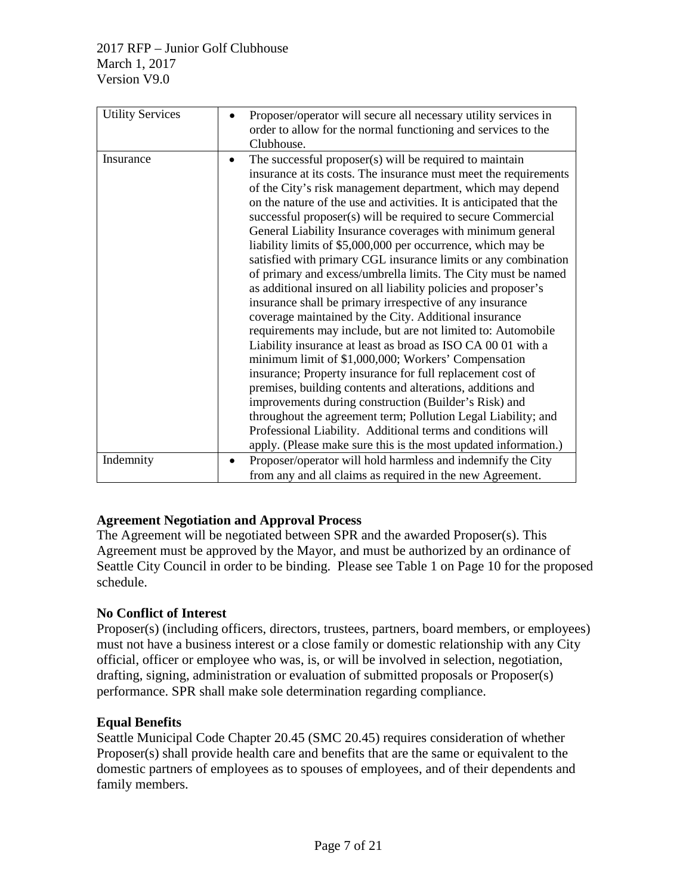| <b>Utility Services</b> | Proposer/operator will secure all necessary utility services in                                                                                                                                                                                                                                                                                                                                                                                                                                                                                                                                                                                                                                                                                                                                                                                                                                                                                                                                                                                                                                                                                                                                                                                                                                                                                                                       |  |  |
|-------------------------|---------------------------------------------------------------------------------------------------------------------------------------------------------------------------------------------------------------------------------------------------------------------------------------------------------------------------------------------------------------------------------------------------------------------------------------------------------------------------------------------------------------------------------------------------------------------------------------------------------------------------------------------------------------------------------------------------------------------------------------------------------------------------------------------------------------------------------------------------------------------------------------------------------------------------------------------------------------------------------------------------------------------------------------------------------------------------------------------------------------------------------------------------------------------------------------------------------------------------------------------------------------------------------------------------------------------------------------------------------------------------------------|--|--|
|                         | order to allow for the normal functioning and services to the<br>Clubhouse.                                                                                                                                                                                                                                                                                                                                                                                                                                                                                                                                                                                                                                                                                                                                                                                                                                                                                                                                                                                                                                                                                                                                                                                                                                                                                                           |  |  |
| Insurance               | The successful proposer(s) will be required to maintain<br>$\bullet$<br>insurance at its costs. The insurance must meet the requirements<br>of the City's risk management department, which may depend<br>on the nature of the use and activities. It is anticipated that the<br>successful proposer(s) will be required to secure Commercial<br>General Liability Insurance coverages with minimum general<br>liability limits of \$5,000,000 per occurrence, which may be<br>satisfied with primary CGL insurance limits or any combination<br>of primary and excess/umbrella limits. The City must be named<br>as additional insured on all liability policies and proposer's<br>insurance shall be primary irrespective of any insurance<br>coverage maintained by the City. Additional insurance<br>requirements may include, but are not limited to: Automobile<br>Liability insurance at least as broad as ISO CA 00 01 with a<br>minimum limit of \$1,000,000; Workers' Compensation<br>insurance; Property insurance for full replacement cost of<br>premises, building contents and alterations, additions and<br>improvements during construction (Builder's Risk) and<br>throughout the agreement term; Pollution Legal Liability; and<br>Professional Liability. Additional terms and conditions will<br>apply. (Please make sure this is the most updated information.) |  |  |
| Indemnity               | Proposer/operator will hold harmless and indemnify the City<br>$\bullet$<br>from any and all claims as required in the new Agreement.                                                                                                                                                                                                                                                                                                                                                                                                                                                                                                                                                                                                                                                                                                                                                                                                                                                                                                                                                                                                                                                                                                                                                                                                                                                 |  |  |

## **Agreement Negotiation and Approval Process**

The Agreement will be negotiated between SPR and the awarded Proposer(s). This Agreement must be approved by the Mayor, and must be authorized by an ordinance of Seattle City Council in order to be binding. Please see Table 1 on Page 10 for the proposed schedule.

## **No Conflict of Interest**

Proposer(s) (including officers, directors, trustees, partners, board members, or employees) must not have a business interest or a close family or domestic relationship with any City official, officer or employee who was, is, or will be involved in selection, negotiation, drafting, signing, administration or evaluation of submitted proposals or Proposer(s) performance. SPR shall make sole determination regarding compliance.

## **Equal Benefits**

Seattle Municipal Code Chapter 20.45 (SMC 20.45) requires consideration of whether Proposer(s) shall provide health care and benefits that are the same or equivalent to the domestic partners of employees as to spouses of employees, and of their dependents and family members.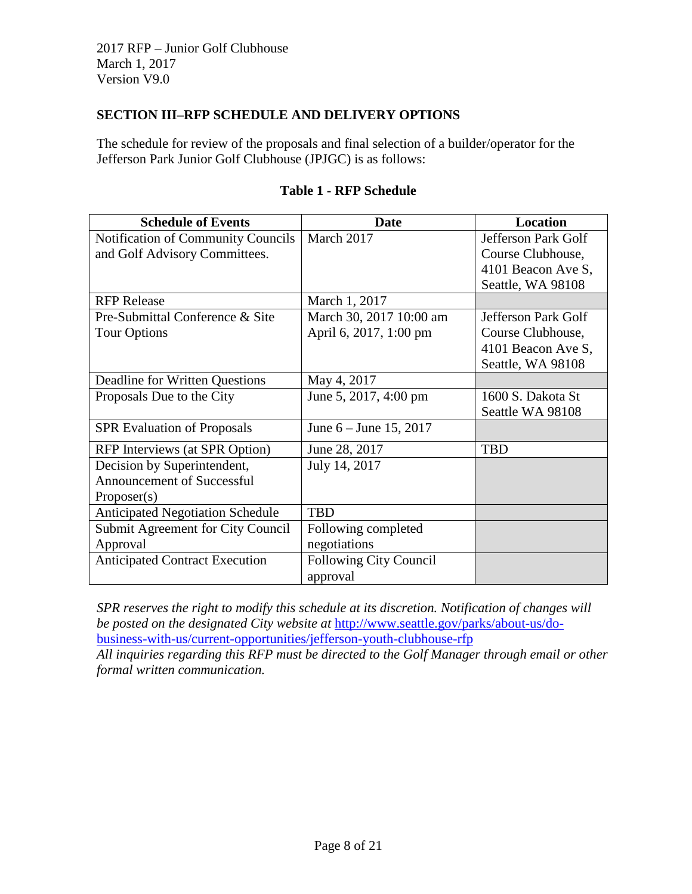### **SECTION III–RFP SCHEDULE AND DELIVERY OPTIONS**

The schedule for review of the proposals and final selection of a builder/operator for the Jefferson Park Junior Golf Clubhouse (JPJGC) is as follows:

| <b>Schedule of Events</b>               | Date                          | <b>Location</b>     |
|-----------------------------------------|-------------------------------|---------------------|
| Notification of Community Councils      | March 2017                    | Jefferson Park Golf |
| and Golf Advisory Committees.           |                               | Course Clubhouse,   |
|                                         |                               | 4101 Beacon Ave S,  |
|                                         |                               | Seattle, WA 98108   |
| <b>RFP</b> Release                      | March 1, 2017                 |                     |
| Pre-Submittal Conference & Site         | March 30, 2017 10:00 am       | Jefferson Park Golf |
| <b>Tour Options</b>                     | April 6, 2017, 1:00 pm        | Course Clubhouse,   |
|                                         |                               | 4101 Beacon Ave S,  |
|                                         |                               | Seattle, WA 98108   |
| Deadline for Written Questions          | May 4, 2017                   |                     |
| Proposals Due to the City               | June 5, 2017, 4:00 pm         | 1600 S. Dakota St   |
|                                         |                               | Seattle WA 98108    |
| <b>SPR Evaluation of Proposals</b>      | June $6 -$ June 15, 2017      |                     |
| RFP Interviews (at SPR Option)          | June 28, 2017                 | <b>TBD</b>          |
| Decision by Superintendent,             | July 14, 2017                 |                     |
| <b>Announcement of Successful</b>       |                               |                     |
| Proposer(s)                             |                               |                     |
| <b>Anticipated Negotiation Schedule</b> | <b>TBD</b>                    |                     |
| Submit Agreement for City Council       | Following completed           |                     |
| Approval                                | negotiations                  |                     |
| <b>Anticipated Contract Execution</b>   | <b>Following City Council</b> |                     |
|                                         | approval                      |                     |

### **Table 1 - RFP Schedule**

*SPR reserves the right to modify this schedule at its discretion. Notification of changes will be posted on the designated City website at* [http://www.seattle.gov/parks/about-us/do](http://www.seattle.gov/parks/about-us/do-business-with-us/current-opportunities/jefferson-youth-clubhouse-rfp)[business-with-us/current-opportunities/jefferson-youth-clubhouse-rfp](http://www.seattle.gov/parks/about-us/do-business-with-us/current-opportunities/jefferson-youth-clubhouse-rfp) *All inquiries regarding this RFP must be directed to the Golf Manager through email or other* 

*formal written communication.*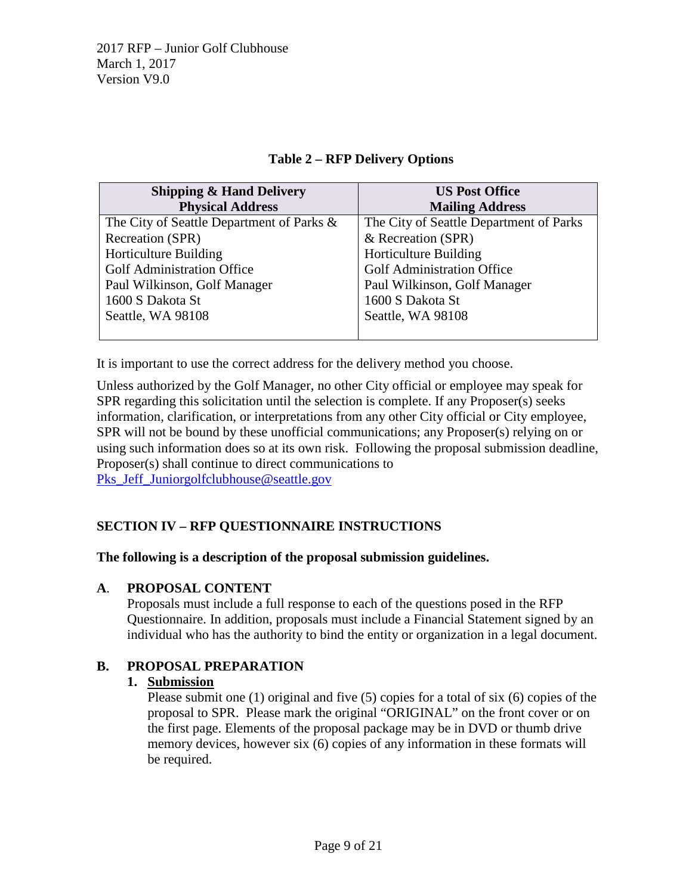#### **Table 2 – RFP Delivery Options**

| <b>Shipping &amp; Hand Delivery</b>       | <b>US Post Office</b>                   |  |
|-------------------------------------------|-----------------------------------------|--|
| <b>Physical Address</b>                   | <b>Mailing Address</b>                  |  |
| The City of Seattle Department of Parks & | The City of Seattle Department of Parks |  |
| Recreation (SPR)                          | & Recreation (SPR)                      |  |
| <b>Horticulture Building</b>              | <b>Horticulture Building</b>            |  |
| Golf Administration Office                | <b>Golf Administration Office</b>       |  |
| Paul Wilkinson, Golf Manager              | Paul Wilkinson, Golf Manager            |  |
| 1600 S Dakota St                          | 1600 S Dakota St                        |  |
| Seattle, WA 98108                         | Seattle, WA 98108                       |  |
|                                           |                                         |  |

It is important to use the correct address for the delivery method you choose.

Unless authorized by the Golf Manager, no other City official or employee may speak for SPR regarding this solicitation until the selection is complete. If any Proposer(s) seeks information, clarification, or interpretations from any other City official or City employee, SPR will not be bound by these unofficial communications; any Proposer(s) relying on or using such information does so at its own risk. Following the proposal submission deadline, Proposer(s) shall continue to direct communications to Pks Jeff Juniorgolfclubhouse@seattle.gov

## **SECTION IV – RFP QUESTIONNAIRE INSTRUCTIONS**

#### **The following is a description of the proposal submission guidelines.**

#### **A**. **PROPOSAL CONTENT**

Proposals must include a full response to each of the questions posed in the RFP Questionnaire. In addition, proposals must include a Financial Statement signed by an individual who has the authority to bind the entity or organization in a legal document.

#### **B. PROPOSAL PREPARATION**

#### **1. Submission**

Please submit one (1) original and five (5) copies for a total of six (6) copies of the proposal to SPR. Please mark the original "ORIGINAL" on the front cover or on the first page. Elements of the proposal package may be in DVD or thumb drive memory devices, however six (6) copies of any information in these formats will be required.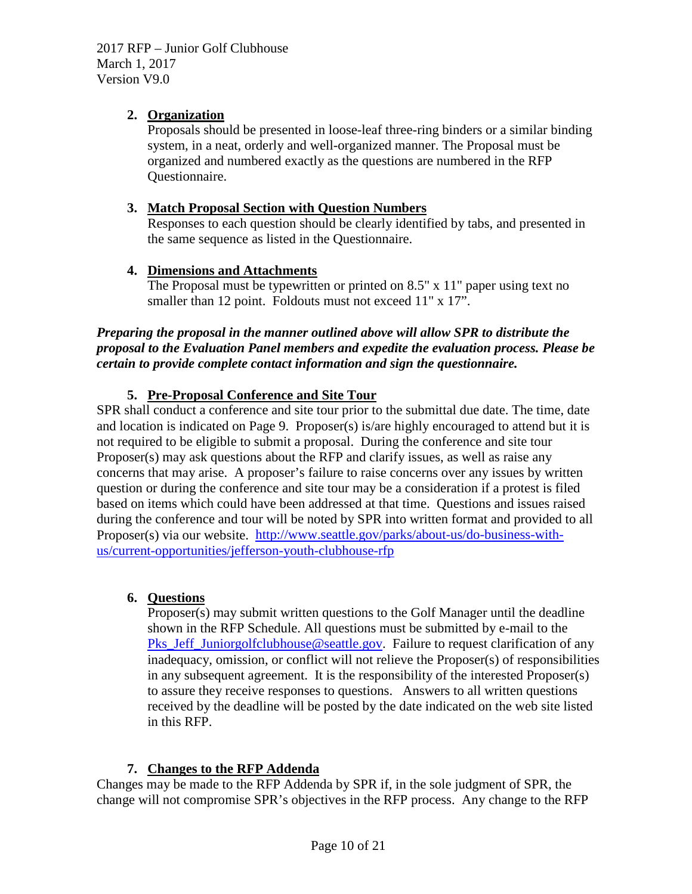# **2. Organization**

Proposals should be presented in loose-leaf three-ring binders or a similar binding system, in a neat, orderly and well-organized manner. The Proposal must be organized and numbered exactly as the questions are numbered in the RFP Questionnaire.

# **3. Match Proposal Section with Question Numbers**

Responses to each question should be clearly identified by tabs, and presented in the same sequence as listed in the Questionnaire.

# **4. Dimensions and Attachments**

The Proposal must be typewritten or printed on 8.5" x 11" paper using text no smaller than 12 point. Foldouts must not exceed 11" x 17".

*Preparing the proposal in the manner outlined above will allow SPR to distribute the proposal to the Evaluation Panel members and expedite the evaluation process. Please be certain to provide complete contact information and sign the questionnaire.* 

# **5. Pre-Proposal Conference and Site Tour**

SPR shall conduct a conference and site tour prior to the submittal due date. The time, date and location is indicated on Page 9. Proposer(s) is/are highly encouraged to attend but it is not required to be eligible to submit a proposal. During the conference and site tour Proposer(s) may ask questions about the RFP and clarify issues, as well as raise any concerns that may arise. A proposer's failure to raise concerns over any issues by written question or during the conference and site tour may be a consideration if a protest is filed based on items which could have been addressed at that time. Questions and issues raised during the conference and tour will be noted by SPR into written format and provided to all Proposer(s) via our website. [http://www.seattle.gov/parks/about-us/do-business-with](http://www.seattle.gov/parks/about-us/do-business-with-us/current-opportunities/jefferson-youth-clubhouse-rfp)[us/current-opportunities/jefferson-youth-clubhouse-rfp](http://www.seattle.gov/parks/about-us/do-business-with-us/current-opportunities/jefferson-youth-clubhouse-rfp)

# **6. Questions**

Proposer(s) may submit written questions to the Golf Manager until the deadline shown in the RFP Schedule. All questions must be submitted by e-mail to the [Pks\\_Jeff\\_Juniorgolfclubhouse@seattle.gov.](mailto:Pks_Jeff_Juniorgolfclubhouse@seattle.gov) Failure to request clarification of any inadequacy, omission, or conflict will not relieve the Proposer(s) of responsibilities in any subsequent agreement. It is the responsibility of the interested Proposer(s) to assure they receive responses to questions. Answers to all written questions received by the deadline will be posted by the date indicated on the web site listed in this RFP.

# **7. Changes to the RFP Addenda**

Changes may be made to the RFP Addenda by SPR if, in the sole judgment of SPR, the change will not compromise SPR's objectives in the RFP process. Any change to the RFP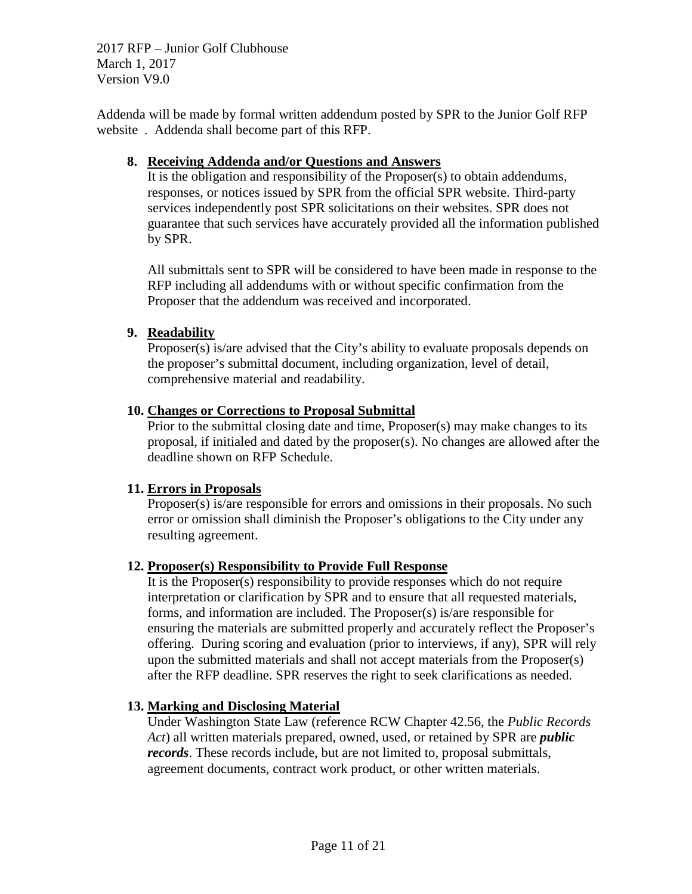Addenda will be made by formal written addendum posted by SPR to the Junior Golf RFP website . Addenda shall become part of this RFP.

#### **8. Receiving Addenda and/or Questions and Answers**

It is the obligation and responsibility of the Proposer(s) to obtain addendums, responses, or notices issued by SPR from the official SPR website. Third-party services independently post SPR solicitations on their websites. SPR does not guarantee that such services have accurately provided all the information published by SPR.

All submittals sent to SPR will be considered to have been made in response to the RFP including all addendums with or without specific confirmation from the Proposer that the addendum was received and incorporated.

#### **9. Readability**

Proposer(s) is/are advised that the City's ability to evaluate proposals depends on the proposer's submittal document, including organization, level of detail, comprehensive material and readability.

#### **10. Changes or Corrections to Proposal Submittal**

Prior to the submittal closing date and time, Proposer(s) may make changes to its proposal, if initialed and dated by the proposer(s). No changes are allowed after the deadline shown on RFP Schedule.

#### **11. Errors in Proposals**

Proposer(s) is/are responsible for errors and omissions in their proposals. No such error or omission shall diminish the Proposer's obligations to the City under any resulting agreement.

#### **12. Proposer(s) Responsibility to Provide Full Response**

It is the Proposer(s) responsibility to provide responses which do not require interpretation or clarification by SPR and to ensure that all requested materials, forms, and information are included. The Proposer(s) is/are responsible for ensuring the materials are submitted properly and accurately reflect the Proposer's offering. During scoring and evaluation (prior to interviews, if any), SPR will rely upon the submitted materials and shall not accept materials from the Proposer(s) after the RFP deadline. SPR reserves the right to seek clarifications as needed.

#### **13. Marking and Disclosing Material**

Under Washington State Law (reference RCW Chapter 42.56, the *Public Records Act*) all written materials prepared, owned, used, or retained by SPR are *public records*. These records include, but are not limited to, proposal submittals, agreement documents, contract work product, or other written materials.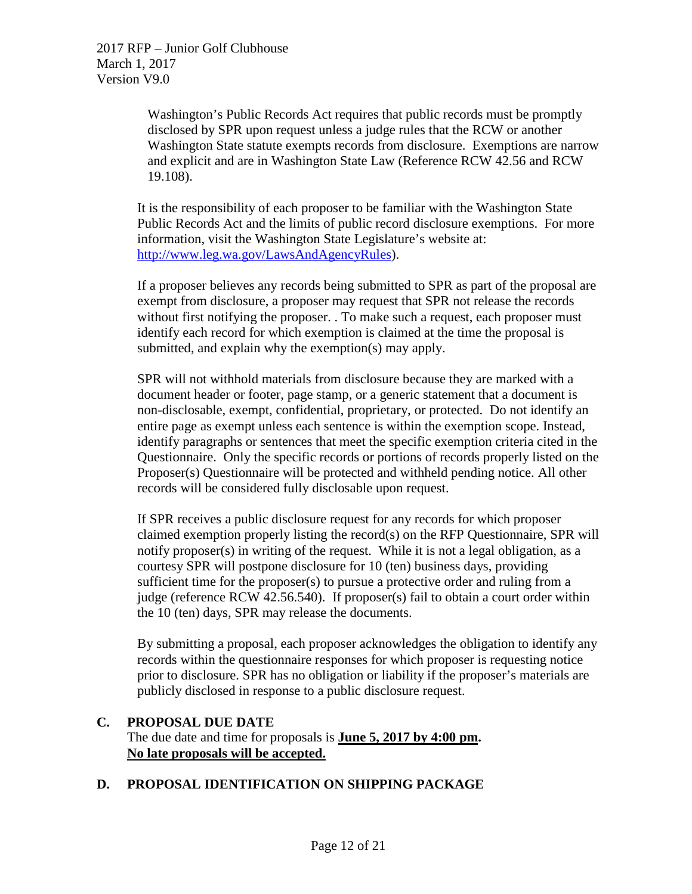> Washington's Public Records Act requires that public records must be promptly disclosed by SPR upon request unless a judge rules that the RCW or another Washington State statute exempts records from disclosure. Exemptions are narrow and explicit and are in Washington State Law (Reference RCW 42.56 and RCW 19.108).

It is the responsibility of each proposer to be familiar with the Washington State Public Records Act and the limits of public record disclosure exemptions. For more information, visit the Washington State Legislature's website at: [http://www.leg.wa.gov/LawsAndAgencyRules\)](http://www.leg.wa.gov/LawsAndAgencyRules).

If a proposer believes any records being submitted to SPR as part of the proposal are exempt from disclosure, a proposer may request that SPR not release the records without first notifying the proposer. . To make such a request, each proposer must identify each record for which exemption is claimed at the time the proposal is submitted, and explain why the exemption(s) may apply.

SPR will not withhold materials from disclosure because they are marked with a document header or footer, page stamp, or a generic statement that a document is non-disclosable, exempt, confidential, proprietary, or protected. Do not identify an entire page as exempt unless each sentence is within the exemption scope. Instead, identify paragraphs or sentences that meet the specific exemption criteria cited in the Questionnaire. Only the specific records or portions of records properly listed on the Proposer(s) Questionnaire will be protected and withheld pending notice. All other records will be considered fully disclosable upon request.

If SPR receives a public disclosure request for any records for which proposer claimed exemption properly listing the record(s) on the RFP Questionnaire, SPR will notify proposer(s) in writing of the request. While it is not a legal obligation, as a courtesy SPR will postpone disclosure for 10 (ten) business days, providing sufficient time for the proposer(s) to pursue a protective order and ruling from a judge (reference RCW 42.56.540). If proposer(s) fail to obtain a court order within the 10 (ten) days, SPR may release the documents.

By submitting a proposal, each proposer acknowledges the obligation to identify any records within the questionnaire responses for which proposer is requesting notice prior to disclosure. SPR has no obligation or liability if the proposer's materials are publicly disclosed in response to a public disclosure request.

#### **C. PROPOSAL DUE DATE** The due date and time for proposals is **June 5, 2017 by 4:00 pm. No late proposals will be accepted.**

# **D. PROPOSAL IDENTIFICATION ON SHIPPING PACKAGE**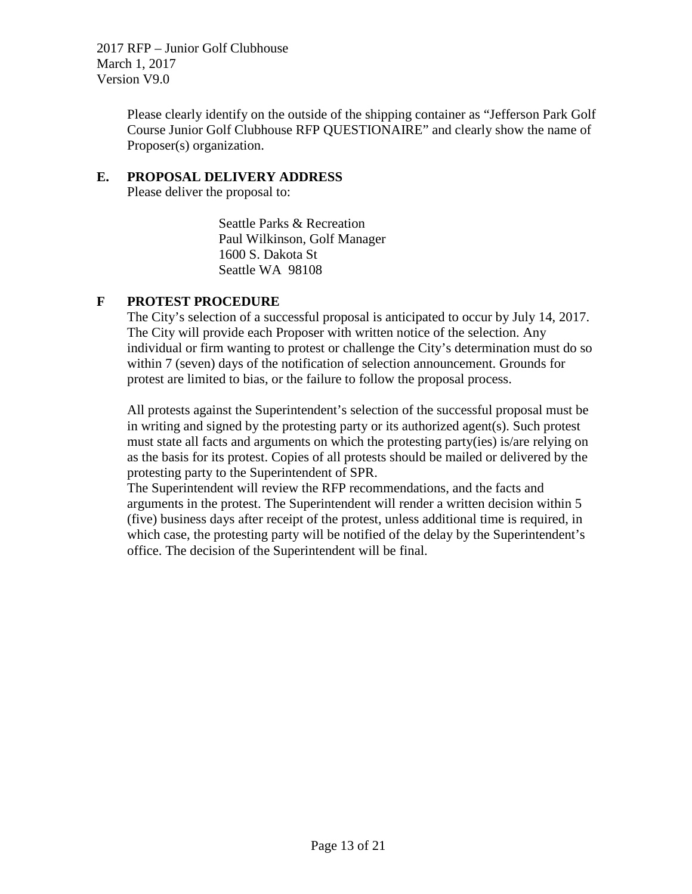> Please clearly identify on the outside of the shipping container as "Jefferson Park Golf Course Junior Golf Clubhouse RFP QUESTIONAIRE" and clearly show the name of Proposer(s) organization.

#### **E. PROPOSAL DELIVERY ADDRESS**

Please deliver the proposal to:

Seattle Parks & Recreation Paul Wilkinson, Golf Manager 1600 S. Dakota St Seattle WA 98108

## **F PROTEST PROCEDURE**

The City's selection of a successful proposal is anticipated to occur by July 14, 2017. The City will provide each Proposer with written notice of the selection. Any individual or firm wanting to protest or challenge the City's determination must do so within 7 (seven) days of the notification of selection announcement. Grounds for protest are limited to bias, or the failure to follow the proposal process.

All protests against the Superintendent's selection of the successful proposal must be in writing and signed by the protesting party or its authorized agent(s). Such protest must state all facts and arguments on which the protesting party(ies) is/are relying on as the basis for its protest. Copies of all protests should be mailed or delivered by the protesting party to the Superintendent of SPR.

The Superintendent will review the RFP recommendations, and the facts and arguments in the protest. The Superintendent will render a written decision within 5 (five) business days after receipt of the protest, unless additional time is required, in which case, the protesting party will be notified of the delay by the Superintendent's office. The decision of the Superintendent will be final.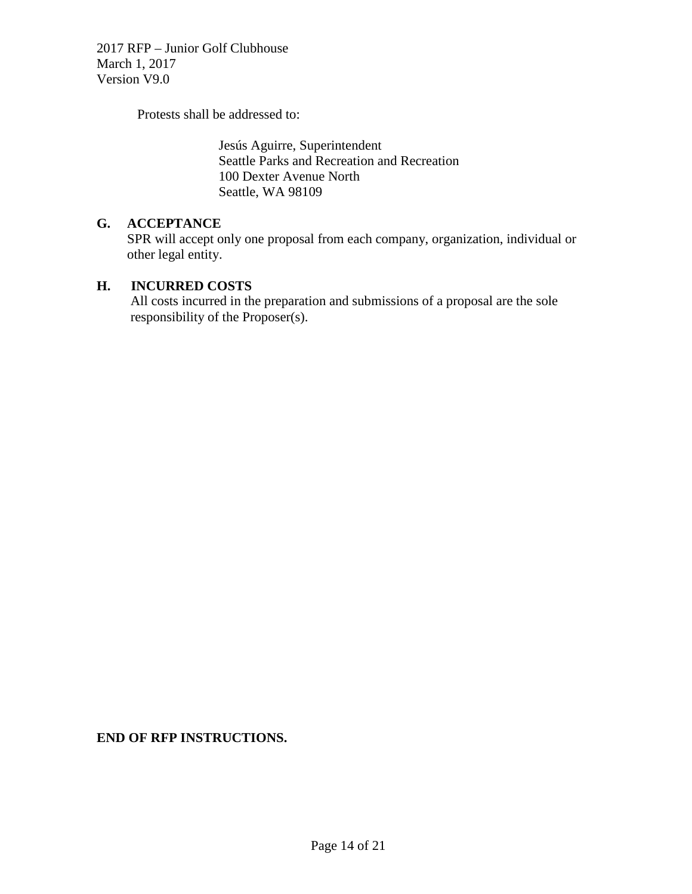Protests shall be addressed to:

Jesús Aguirre, Superintendent Seattle Parks and Recreation and Recreation 100 Dexter Avenue North Seattle, WA 98109

#### **G. ACCEPTANCE**

SPR will accept only one proposal from each company, organization, individual or other legal entity.

#### **H. INCURRED COSTS**

 All costs incurred in the preparation and submissions of a proposal are the sole responsibility of the Proposer(s).

**END OF RFP INSTRUCTIONS.**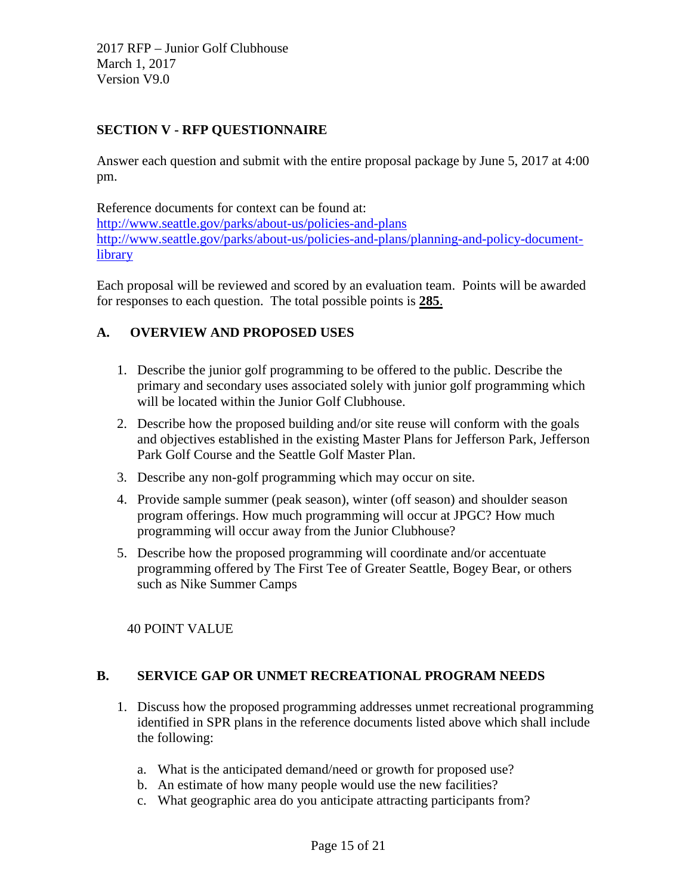# **SECTION V - RFP QUESTIONNAIRE**

Answer each question and submit with the entire proposal package by June 5, 2017 at 4:00 pm.

Reference documents for context can be found at: <http://www.seattle.gov/parks/about-us/policies-and-plans> [http://www.seattle.gov/parks/about-us/policies-and-plans/planning-and-policy-document](http://www.seattle.gov/parks/about-us/policies-and-plans/planning-and-policy-document-library)[library](http://www.seattle.gov/parks/about-us/policies-and-plans/planning-and-policy-document-library)

Each proposal will be reviewed and scored by an evaluation team. Points will be awarded for responses to each question. The total possible points is **285**.

# **A. OVERVIEW AND PROPOSED USES**

- 1. Describe the junior golf programming to be offered to the public. Describe the primary and secondary uses associated solely with junior golf programming which will be located within the Junior Golf Clubhouse.
- 2. Describe how the proposed building and/or site reuse will conform with the goals and objectives established in the existing Master Plans for Jefferson Park, Jefferson Park Golf Course and the Seattle Golf Master Plan.
- 3. Describe any non-golf programming which may occur on site.
- 4. Provide sample summer (peak season), winter (off season) and shoulder season program offerings. How much programming will occur at JPGC? How much programming will occur away from the Junior Clubhouse?
- 5. Describe how the proposed programming will coordinate and/or accentuate programming offered by The First Tee of Greater Seattle, Bogey Bear, or others such as Nike Summer Camps

40 POINT VALUE

## **B. SERVICE GAP OR UNMET RECREATIONAL PROGRAM NEEDS**

- 1. Discuss how the proposed programming addresses unmet recreational programming identified in SPR plans in the reference documents listed above which shall include the following:
	- a. What is the anticipated demand/need or growth for proposed use?
	- b. An estimate of how many people would use the new facilities?
	- c. What geographic area do you anticipate attracting participants from?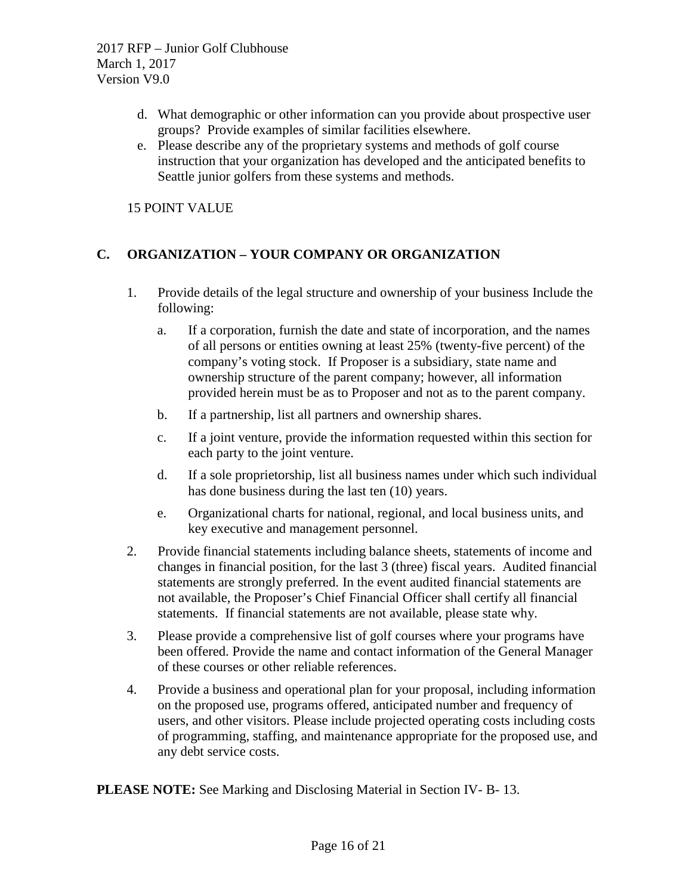- d. What demographic or other information can you provide about prospective user groups? Provide examples of similar facilities elsewhere.
- e. Please describe any of the proprietary systems and methods of golf course instruction that your organization has developed and the anticipated benefits to Seattle junior golfers from these systems and methods.

15 POINT VALUE

# **C. ORGANIZATION – YOUR COMPANY OR ORGANIZATION**

- 1. Provide details of the legal structure and ownership of your business Include the following:
	- a. If a corporation, furnish the date and state of incorporation, and the names of all persons or entities owning at least 25% (twenty-five percent) of the company's voting stock. If Proposer is a subsidiary, state name and ownership structure of the parent company; however, all information provided herein must be as to Proposer and not as to the parent company.
	- b. If a partnership, list all partners and ownership shares.
	- c. If a joint venture, provide the information requested within this section for each party to the joint venture.
	- d. If a sole proprietorship, list all business names under which such individual has done business during the last ten (10) years.
	- e. Organizational charts for national, regional, and local business units, and key executive and management personnel.
- 2. Provide financial statements including balance sheets, statements of income and changes in financial position, for the last 3 (three) fiscal years. Audited financial statements are strongly preferred. In the event audited financial statements are not available, the Proposer's Chief Financial Officer shall certify all financial statements. If financial statements are not available, please state why.
- 3. Please provide a comprehensive list of golf courses where your programs have been offered. Provide the name and contact information of the General Manager of these courses or other reliable references.
- 4. Provide a business and operational plan for your proposal, including information on the proposed use, programs offered, anticipated number and frequency of users, and other visitors. Please include projected operating costs including costs of programming, staffing, and maintenance appropriate for the proposed use, and any debt service costs.

**PLEASE NOTE:** See Marking and Disclosing Material in Section IV- B- 13.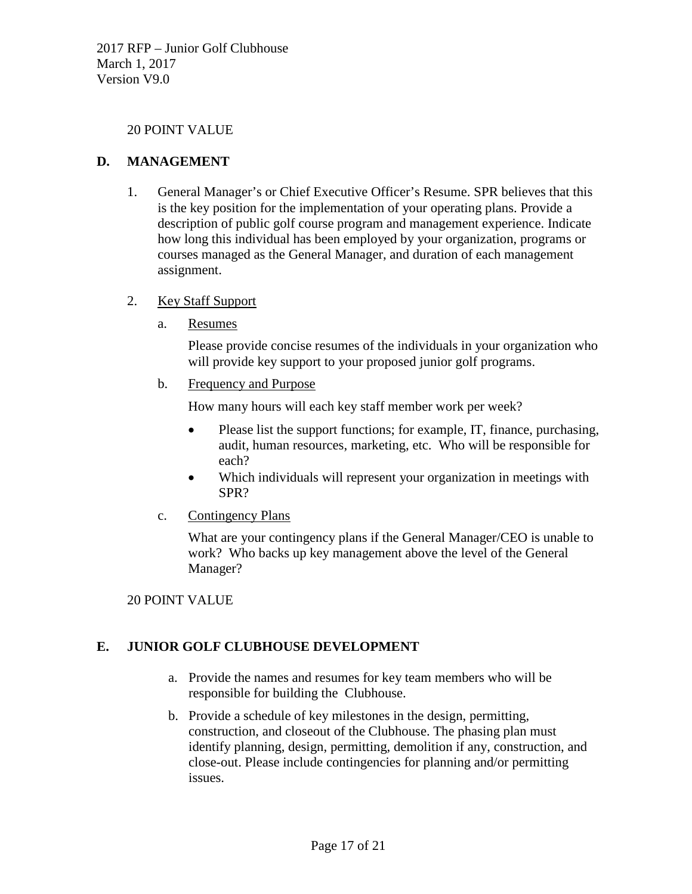#### 20 POINT VALUE

#### **D. MANAGEMENT**

1. General Manager's or Chief Executive Officer's Resume. SPR believes that this is the key position for the implementation of your operating plans. Provide a description of public golf course program and management experience. Indicate how long this individual has been employed by your organization, programs or courses managed as the General Manager, and duration of each management assignment.

#### 2. Key Staff Support

a. Resumes

Please provide concise resumes of the individuals in your organization who will provide key support to your proposed junior golf programs.

b. Frequency and Purpose

How many hours will each key staff member work per week?

- Please list the support functions; for example, IT, finance, purchasing, audit, human resources, marketing, etc. Who will be responsible for each?
- Which individuals will represent your organization in meetings with SPR?
- c. Contingency Plans

What are your contingency plans if the General Manager/CEO is unable to work? Who backs up key management above the level of the General Manager?

#### 20 POINT VALUE

## **E. JUNIOR GOLF CLUBHOUSE DEVELOPMENT**

- a. Provide the names and resumes for key team members who will be responsible for building the Clubhouse.
- b. Provide a schedule of key milestones in the design, permitting, construction, and closeout of the Clubhouse. The phasing plan must identify planning, design, permitting, demolition if any, construction, and close-out. Please include contingencies for planning and/or permitting issues.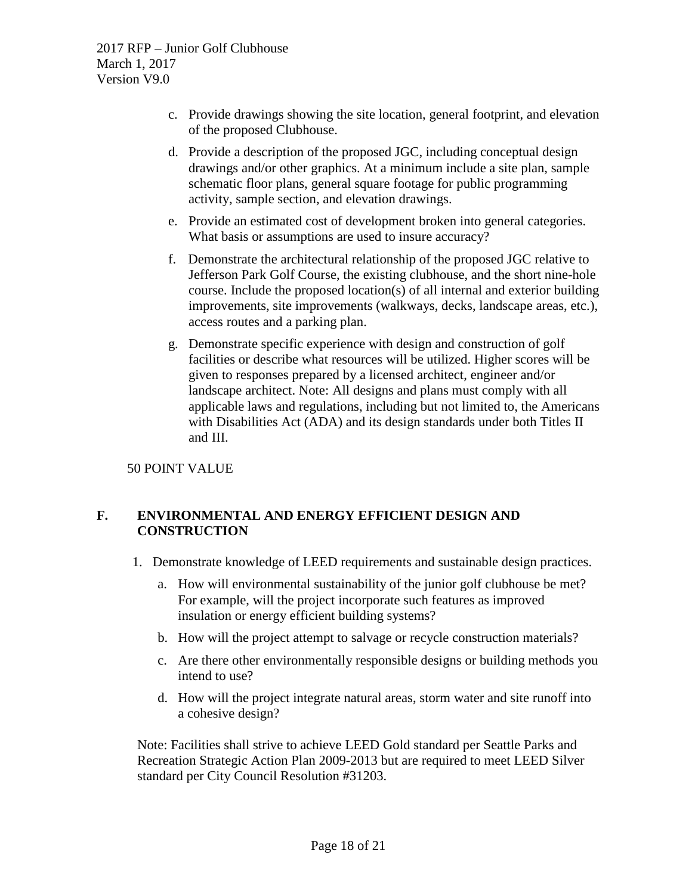- c. Provide drawings showing the site location, general footprint, and elevation of the proposed Clubhouse.
- d. Provide a description of the proposed JGC, including conceptual design drawings and/or other graphics. At a minimum include a site plan, sample schematic floor plans, general square footage for public programming activity, sample section, and elevation drawings.
- e. Provide an estimated cost of development broken into general categories. What basis or assumptions are used to insure accuracy?
- f. Demonstrate the architectural relationship of the proposed JGC relative to Jefferson Park Golf Course, the existing clubhouse, and the short nine-hole course. Include the proposed location(s) of all internal and exterior building improvements, site improvements (walkways, decks, landscape areas, etc.), access routes and a parking plan.
- g. Demonstrate specific experience with design and construction of golf facilities or describe what resources will be utilized. Higher scores will be given to responses prepared by a licensed architect, engineer and/or landscape architect. Note: All designs and plans must comply with all applicable laws and regulations, including but not limited to, the Americans with Disabilities Act (ADA) and its design standards under both Titles II and III.

50 POINT VALUE

# **F. ENVIRONMENTAL AND ENERGY EFFICIENT DESIGN AND CONSTRUCTION**

- 1. Demonstrate knowledge of LEED requirements and sustainable design practices.
	- a. How will environmental sustainability of the junior golf clubhouse be met? For example, will the project incorporate such features as improved insulation or energy efficient building systems?
	- b. How will the project attempt to salvage or recycle construction materials?
	- c. Are there other environmentally responsible designs or building methods you intend to use?
	- d. How will the project integrate natural areas, storm water and site runoff into a cohesive design?

Note: Facilities shall strive to achieve LEED Gold standard per Seattle Parks and Recreation Strategic Action Plan 2009-2013 but are required to meet LEED Silver standard per City Council Resolution #31203.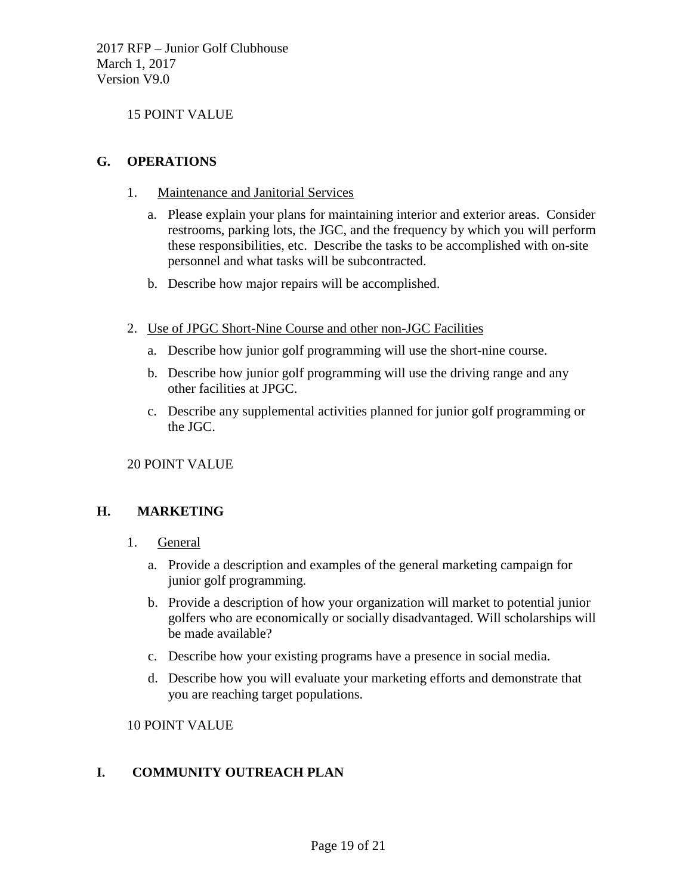15 POINT VALUE

## **G. OPERATIONS**

- 1. Maintenance and Janitorial Services
	- a. Please explain your plans for maintaining interior and exterior areas. Consider restrooms, parking lots, the JGC, and the frequency by which you will perform these responsibilities, etc. Describe the tasks to be accomplished with on-site personnel and what tasks will be subcontracted.
	- b. Describe how major repairs will be accomplished.
- 2. Use of JPGC Short-Nine Course and other non-JGC Facilities
	- a. Describe how junior golf programming will use the short-nine course.
	- b. Describe how junior golf programming will use the driving range and any other facilities at JPGC.
	- c. Describe any supplemental activities planned for junior golf programming or the JGC.

20 POINT VALUE

## **H. MARKETING**

- 1. General
	- a. Provide a description and examples of the general marketing campaign for junior golf programming.
	- b. Provide a description of how your organization will market to potential junior golfers who are economically or socially disadvantaged. Will scholarships will be made available?
	- c. Describe how your existing programs have a presence in social media.
	- d. Describe how you will evaluate your marketing efforts and demonstrate that you are reaching target populations.

10 POINT VALUE

## **I. COMMUNITY OUTREACH PLAN**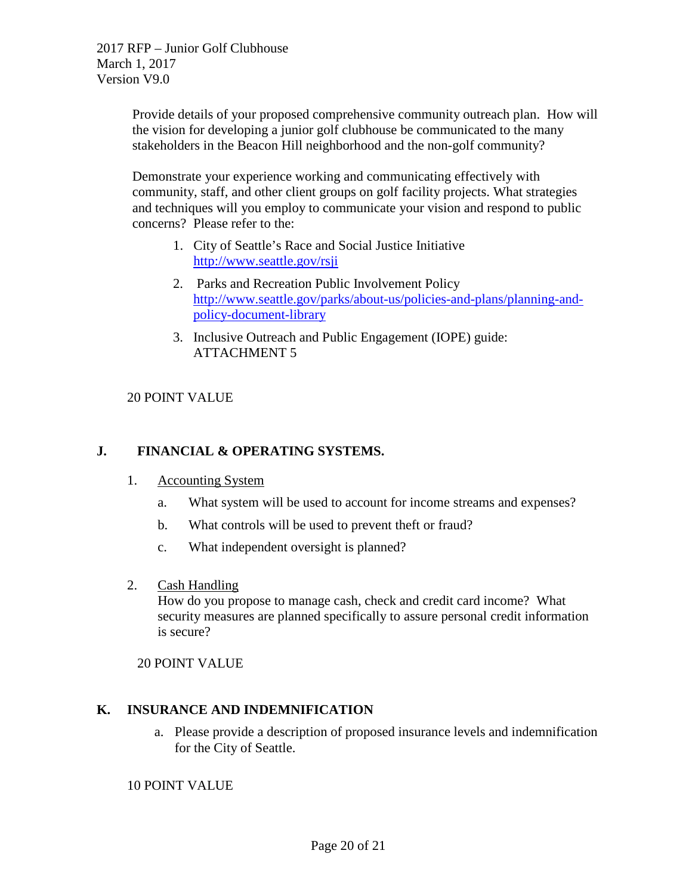Provide details of your proposed comprehensive community outreach plan. How will the vision for developing a junior golf clubhouse be communicated to the many stakeholders in the Beacon Hill neighborhood and the non-golf community?

Demonstrate your experience working and communicating effectively with community, staff, and other client groups on golf facility projects. What strategies and techniques will you employ to communicate your vision and respond to public concerns? Please refer to the:

- 1. City of Seattle's Race and Social Justice Initiative <http://www.seattle.gov/rsji>
- 2. Parks and Recreation Public Involvement Policy [http://www.seattle.gov/parks/about-us/policies-and-plans/planning-and](http://www.seattle.gov/parks/about-us/policies-and-plans/planning-and-policy-document-library)[policy-document-library](http://www.seattle.gov/parks/about-us/policies-and-plans/planning-and-policy-document-library)
- 3. Inclusive Outreach and Public Engagement (IOPE) guide: ATTACHMENT 5

## 20 POINT VALUE

# **J. FINANCIAL & OPERATING SYSTEMS.**

- 1. Accounting System
	- a. What system will be used to account for income streams and expenses?
	- b. What controls will be used to prevent theft or fraud?
	- c. What independent oversight is planned?
- 2. Cash Handling

How do you propose to manage cash, check and credit card income? What security measures are planned specifically to assure personal credit information is secure?

20 POINT VALUE

## **K. INSURANCE AND INDEMNIFICATION**

a. Please provide a description of proposed insurance levels and indemnification for the City of Seattle.

10 POINT VALUE